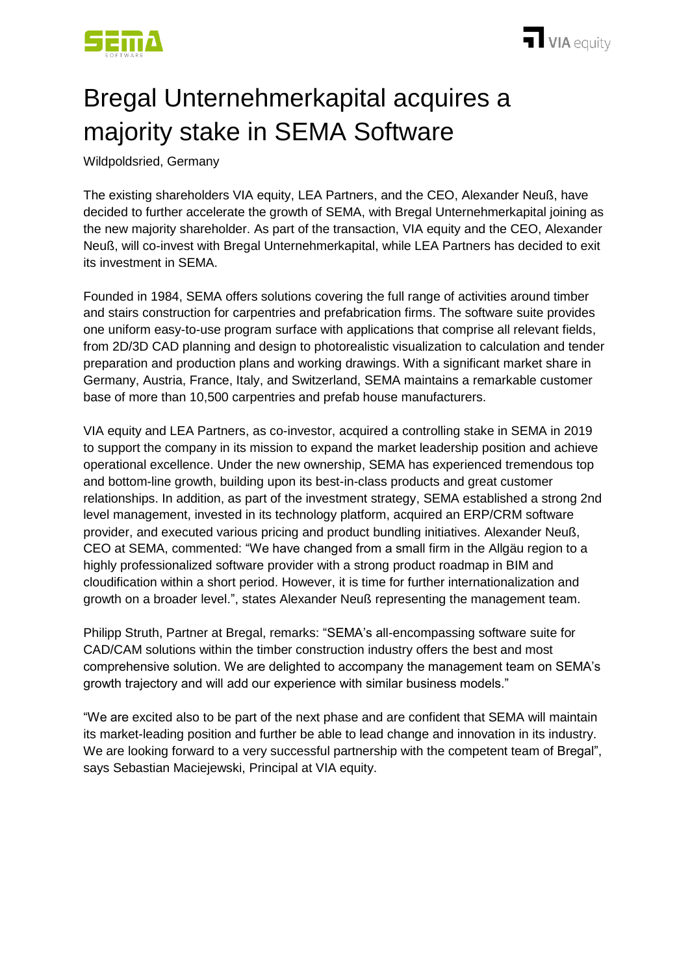

## Bregal Unternehmerkapital acquires a majority stake in SEMA Software

Wildpoldsried, Germany

The existing shareholders VIA equity, LEA Partners, and the CEO, Alexander Neuß, have decided to further accelerate the growth of SEMA, with Bregal Unternehmerkapital joining as the new majority shareholder. As part of the transaction, VIA equity and the CEO, Alexander Neuß, will co-invest with Bregal Unternehmerkapital, while LEA Partners has decided to exit its investment in SEMA.

Founded in 1984, SEMA offers solutions covering the full range of activities around timber and stairs construction for carpentries and prefabrication firms. The software suite provides one uniform easy-to-use program surface with applications that comprise all relevant fields, from 2D/3D CAD planning and design to photorealistic visualization to calculation and tender preparation and production plans and working drawings. With a significant market share in Germany, Austria, France, Italy, and Switzerland, SEMA maintains a remarkable customer base of more than 10,500 carpentries and prefab house manufacturers.

VIA equity and LEA Partners, as co-investor, acquired a controlling stake in SEMA in 2019 to support the company in its mission to expand the market leadership position and achieve operational excellence. Under the new ownership, SEMA has experienced tremendous top and bottom-line growth, building upon its best-in-class products and great customer relationships. In addition, as part of the investment strategy, SEMA established a strong 2nd level management, invested in its technology platform, acquired an ERP/CRM software provider, and executed various pricing and product bundling initiatives. Alexander Neuß, CEO at SEMA, commented: "We have changed from a small firm in the Allgäu region to a highly professionalized software provider with a strong product roadmap in BIM and cloudification within a short period. However, it is time for further internationalization and growth on a broader level.", states Alexander Neuß representing the management team.

Philipp Struth, Partner at Bregal, remarks: "SEMA's all-encompassing software suite for CAD/CAM solutions within the timber construction industry offers the best and most comprehensive solution. We are delighted to accompany the management team on SEMA's growth trajectory and will add our experience with similar business models."

"We are excited also to be part of the next phase and are confident that SEMA will maintain its market-leading position and further be able to lead change and innovation in its industry. We are looking forward to a very successful partnership with the competent team of Bregal", says Sebastian Maciejewski, Principal at VIA equity.